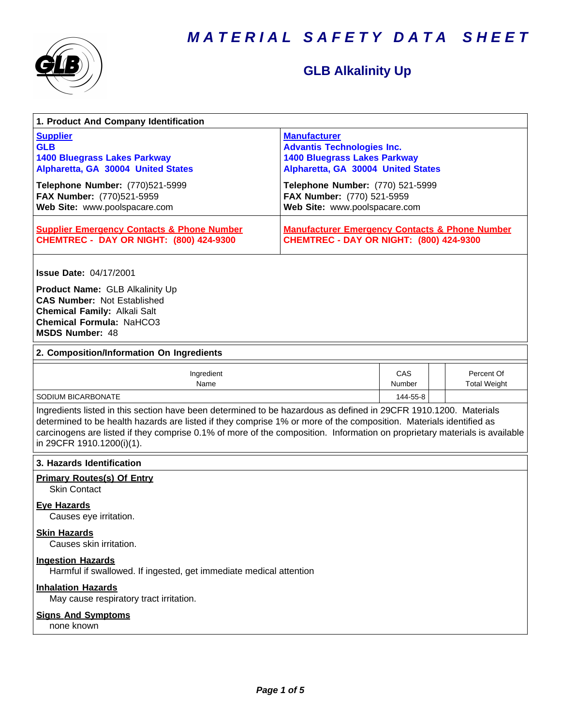

# **GLB Alkalinity Up**

| 1. Product And Company Identification                                                                                                                                                                                                                                                                                                                                                             |                                                                                                                                       |                      |                                   |  |  |
|---------------------------------------------------------------------------------------------------------------------------------------------------------------------------------------------------------------------------------------------------------------------------------------------------------------------------------------------------------------------------------------------------|---------------------------------------------------------------------------------------------------------------------------------------|----------------------|-----------------------------------|--|--|
| <b>Supplier</b><br><b>GLB</b><br><b>1400 Bluegrass Lakes Parkway</b><br>Alpharetta, GA 30004 United States                                                                                                                                                                                                                                                                                        | <b>Manufacturer</b><br><b>Advantis Technologies Inc.</b><br><b>1400 Bluegrass Lakes Parkway</b><br>Alpharetta, GA 30004 United States |                      |                                   |  |  |
| Telephone Number: (770)521-5999<br>FAX Number: (770)521-5959<br>Web Site: www.poolspacare.com                                                                                                                                                                                                                                                                                                     | Telephone Number: (770) 521-5999<br>FAX Number: (770) 521-5959<br>Web Site: www.poolspacare.com                                       |                      |                                   |  |  |
| <b>Supplier Emergency Contacts &amp; Phone Number</b><br><b>CHEMTREC - DAY OR NIGHT: (800) 424-9300</b>                                                                                                                                                                                                                                                                                           | <b>Manufacturer Emergency Contacts &amp; Phone Number</b><br><b>CHEMTREC - DAY OR NIGHT: (800) 424-9300</b>                           |                      |                                   |  |  |
| <b>Issue Date: 04/17/2001</b>                                                                                                                                                                                                                                                                                                                                                                     |                                                                                                                                       |                      |                                   |  |  |
| Product Name: GLB Alkalinity Up<br><b>CAS Number: Not Established</b><br><b>Chemical Family: Alkali Salt</b><br><b>Chemical Formula: NaHCO3</b><br><b>MSDS Number: 48</b>                                                                                                                                                                                                                         |                                                                                                                                       |                      |                                   |  |  |
| 2. Composition/Information On Ingredients                                                                                                                                                                                                                                                                                                                                                         |                                                                                                                                       |                      |                                   |  |  |
| Ingredient<br>Name                                                                                                                                                                                                                                                                                                                                                                                |                                                                                                                                       | <b>CAS</b><br>Number | Percent Of<br><b>Total Weight</b> |  |  |
| SODIUM BICARBONATE<br>144-55-8                                                                                                                                                                                                                                                                                                                                                                    |                                                                                                                                       |                      |                                   |  |  |
| Ingredients listed in this section have been determined to be hazardous as defined in 29CFR 1910.1200. Materials<br>determined to be health hazards are listed if they comprise 1% or more of the composition. Materials identified as<br>carcinogens are listed if they comprise 0.1% of more of the composition. Information on proprietary materials is available<br>in 29CFR 1910.1200(i)(1). |                                                                                                                                       |                      |                                   |  |  |
| 3. Hazards Identification                                                                                                                                                                                                                                                                                                                                                                         |                                                                                                                                       |                      |                                   |  |  |
| <b>Primary Routes(s) Of Entry</b><br><b>Skin Contact</b>                                                                                                                                                                                                                                                                                                                                          |                                                                                                                                       |                      |                                   |  |  |
| <b>Eye Hazards</b><br>Causes eye irritation.                                                                                                                                                                                                                                                                                                                                                      |                                                                                                                                       |                      |                                   |  |  |
| <b>Skin Hazards</b><br>Causes skin irritation.                                                                                                                                                                                                                                                                                                                                                    |                                                                                                                                       |                      |                                   |  |  |
| <b>Ingestion Hazards</b><br>Harmful if swallowed. If ingested, get immediate medical attention                                                                                                                                                                                                                                                                                                    |                                                                                                                                       |                      |                                   |  |  |
| <b>Inhalation Hazards</b><br>May cause respiratory tract irritation.                                                                                                                                                                                                                                                                                                                              |                                                                                                                                       |                      |                                   |  |  |
| <b>Signs And Symptoms</b><br>none known                                                                                                                                                                                                                                                                                                                                                           |                                                                                                                                       |                      |                                   |  |  |
|                                                                                                                                                                                                                                                                                                                                                                                                   |                                                                                                                                       |                      |                                   |  |  |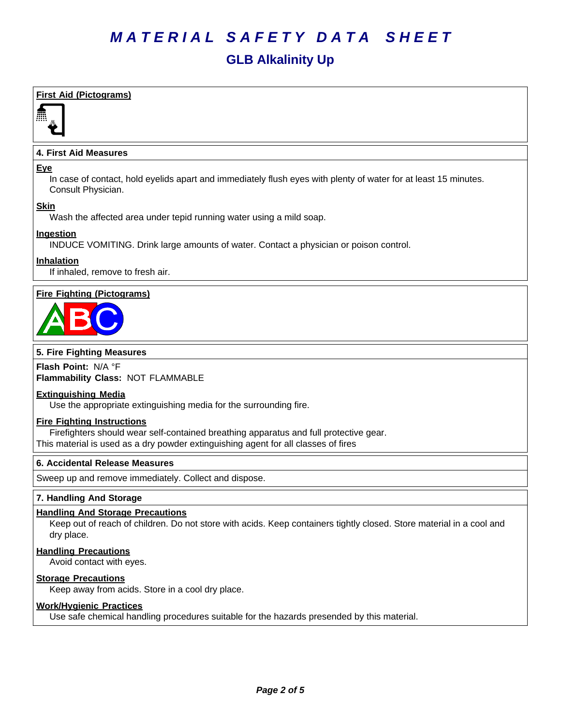## **GLB Alkalinity Up**

### **First Aid (Pictograms)**



### **4. First Aid Measures**

#### **Eye**

In case of contact, hold eyelids apart and immediately flush eyes with plenty of water for at least 15 minutes. Consult Physician.

### **Skin**

Wash the affected area under tepid running water using a mild soap.

### **Ingestion**

INDUCE VOMITING. Drink large amounts of water. Contact a physician or poison control.

### **Inhalation**

If inhaled, remove to fresh air.

### **Fire Fighting (Pictograms)**



### **5. Fire Fighting Measures**

**Flash Point:** N/A°F **Flammability Class:** NOT FLAMMABLE

### **Extinguishing Media**

Use the appropriate extinguishing media for the surrounding fire.

### **Fire Fighting Instructions**

Firefighters should wear self-contained breathing apparatus and full protective gear. This material is used as a dry powder extinguishing agent for all classes of fires

### **6.Accidental ReleaseMeasures**

Sweep up and remove immediately. Collect and dispose.

### **7. Handling And Storage**

### **Handling And Storage Precautions**

Keep out of reach of children. Do not store with acids. Keep containers tightly closed. Store material in a cool and dry place.

### **Handling Precautions**

Avoid contact with eyes.

### **Storage Precautions**

Keep away from acids. Store in a cool dry place.

### **Work/Hygienic Practices**

Use safe chemical handling procedures suitable for the hazards presended by this material.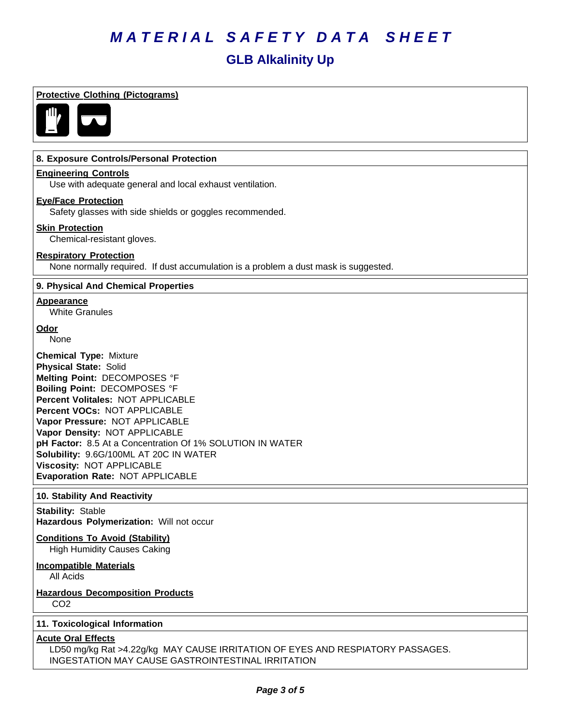## **GLB Alkalinity Up**

| 8. Exposure Controls/Personal Protection                                                                                                                                                                                                                                                                                                                                                                                                             |                                                                                     |
|------------------------------------------------------------------------------------------------------------------------------------------------------------------------------------------------------------------------------------------------------------------------------------------------------------------------------------------------------------------------------------------------------------------------------------------------------|-------------------------------------------------------------------------------------|
| <b>Engineering Controls</b>                                                                                                                                                                                                                                                                                                                                                                                                                          |                                                                                     |
| Use with adequate general and local exhaust ventilation.                                                                                                                                                                                                                                                                                                                                                                                             |                                                                                     |
| <b>Eye/Face Protection</b><br>Safety glasses with side shields or goggles recommended.                                                                                                                                                                                                                                                                                                                                                               |                                                                                     |
| <b>Skin Protection</b><br>Chemical-resistant gloves.                                                                                                                                                                                                                                                                                                                                                                                                 |                                                                                     |
| <b>Respiratory Protection</b>                                                                                                                                                                                                                                                                                                                                                                                                                        | None normally required. If dust accumulation is a problem a dust mask is suggested. |
| 9. Physical And Chemical Properties                                                                                                                                                                                                                                                                                                                                                                                                                  |                                                                                     |
| Appearance<br><b>White Granules</b>                                                                                                                                                                                                                                                                                                                                                                                                                  |                                                                                     |
| Odor<br>None                                                                                                                                                                                                                                                                                                                                                                                                                                         |                                                                                     |
| <b>Chemical Type: Mixture</b><br><b>Physical State: Solid</b><br>Melting Point: DECOMPOSES °F<br><b>Boiling Point: DECOMPOSES °F</b><br>Percent Volitales: NOT APPLICABLE<br>Percent VOCs: NOT APPLICABLE<br>Vapor Pressure: NOT APPLICABLE<br>Vapor Density: NOT APPLICABLE<br>pH Factor: 8.5 At a Concentration Of 1% SOLUTION IN WATER<br>Solubility: 9.6G/100ML AT 20C IN WATER<br>Viscosity: NOT APPLICABLE<br>Evaporation Rate: NOT APPLICABLE |                                                                                     |
| 10. Stability And Reactivity<br><b>Stability: Stable</b>                                                                                                                                                                                                                                                                                                                                                                                             |                                                                                     |
| Hazardous Polymerization: Will not occur                                                                                                                                                                                                                                                                                                                                                                                                             |                                                                                     |
| <b>Conditions To Avoid (Stability)</b><br><b>High Humidity Causes Caking</b>                                                                                                                                                                                                                                                                                                                                                                         |                                                                                     |
| <b>Incompatible Materials</b><br>All Acids                                                                                                                                                                                                                                                                                                                                                                                                           |                                                                                     |
|                                                                                                                                                                                                                                                                                                                                                                                                                                                      |                                                                                     |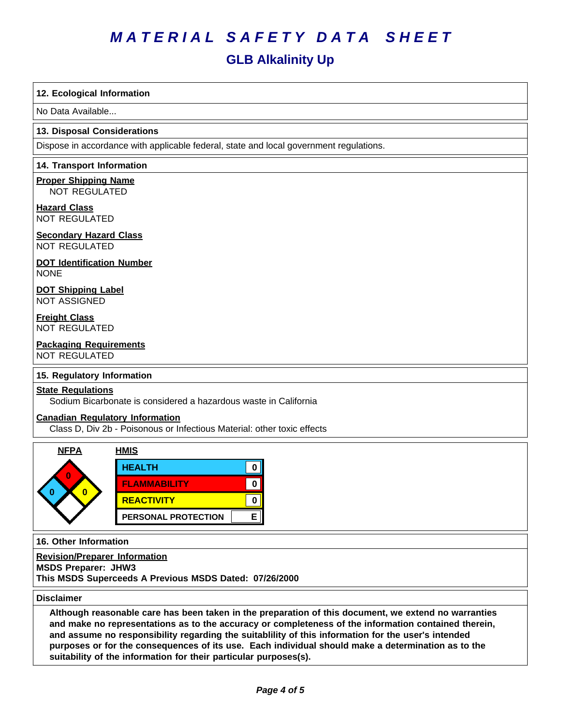### **GLB Alkalinity Up**

### **12. Ecological Information**

No Data Available...

#### **13. Disposal Considerations**

Dispose in accordance with applicable federal, state and local government regulations.

#### **14. Transport Information**

**Proper Shipping Name** NOT REGULATED

**Hazard Class** NOT REGULATED

## **Secondary Hazard Class**

NOT REGULATED

### **DOT Identification Number** NONE

**DOT Shipping Label** NOT ASSIGNED

**Freight Class** NOT REGULATED

#### **Packaging Requirements** NOT REGULATED

### **15. Regulatory Information**

### **State Regulations**

Sodium Bicarbonate is considered a hazardous waste in California

### **Canadian Regulatory Information**

Class D, Div 2b - Poisonous or Infectious Material: other toxic effects

| <b>NFPA</b> | <u>HMIS</u>         |  |
|-------------|---------------------|--|
| n           | <b>HEALTH</b>       |  |
|             | <b>FLAMMABILITY</b> |  |
|             | <b>REACTIVITY</b>   |  |
|             | PERSONAL PROTECTION |  |

**16. Other Information**

**Revision/Preparer Information MSDS Preparer: JHW3 This MSDS Superceeds A Previous MSDS Dated: 07/26/2000**

#### **Disclaimer**

Although reasonable care has been taken in the preparation of this document, we extend no warranties **and make no representations as to the accuracy or completeness of the information contained therein, and assume no responsibility regarding the suitablility of this information for the user's intended** purposes or for the consequences of its use. Each individual should make a determination as to the **suitability of the information for their particular purposes(s).**